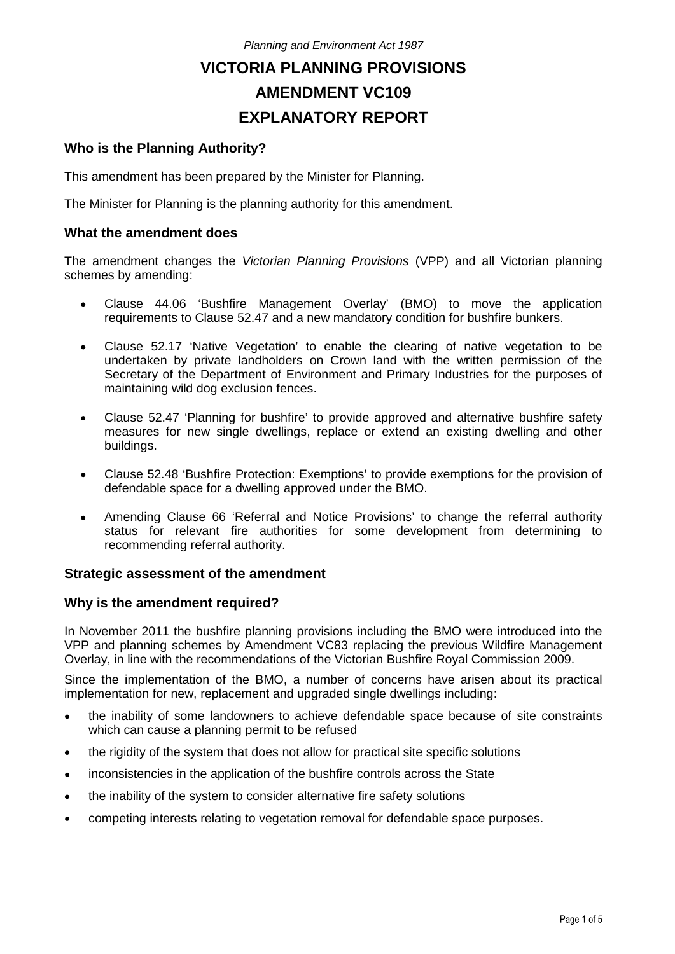# **VICTORIA PLANNING PROVISIONS AMENDMENT VC109 EXPLANATORY REPORT**

# **Who is the Planning Authority?**

This amendment has been prepared by the Minister for Planning.

The Minister for Planning is the planning authority for this amendment.

#### **What the amendment does**

The amendment changes the *Victorian Planning Provisions* (VPP) and all Victorian planning schemes by amending:

- Clause 44.06 'Bushfire Management Overlay' (BMO) to move the application requirements to Clause 52.47 and a new mandatory condition for bushfire bunkers.
- Clause 52.17 'Native Vegetation' to enable the clearing of native vegetation to be undertaken by private landholders on Crown land with the written permission of the Secretary of the Department of Environment and Primary Industries for the purposes of maintaining wild dog exclusion fences.
- Clause 52.47 'Planning for bushfire' to provide approved and alternative bushfire safety  $\bullet$ measures for new single dwellings, replace or extend an existing dwelling and other buildings.
- Clause 52.48 'Bushfire Protection: Exemptions' to provide exemptions for the provision of defendable space for a dwelling approved under the BMO.
- Amending Clause 66 'Referral and Notice Provisions' to change the referral authority  $\bullet$ status for relevant fire authorities for some development from determining to recommending referral authority.

## **Strategic assessment of the amendment**

#### **Why is the amendment required?**

In November 2011 the bushfire planning provisions including the BMO were introduced into the VPP and planning schemes by Amendment VC83 replacing the previous Wildfire Management Overlay, in line with the recommendations of the Victorian Bushfire Royal Commission 2009.

Since the implementation of the BMO, a number of concerns have arisen about its practical implementation for new, replacement and upgraded single dwellings including:

- the inability of some landowners to achieve defendable space because of site constraints  $\bullet$ which can cause a planning permit to be refused
- the rigidity of the system that does not allow for practical site specific solutions  $\bullet$
- inconsistencies in the application of the bushfire controls across the State  $\bullet$
- the inability of the system to consider alternative fire safety solutions  $\bullet$
- competing interests relating to vegetation removal for defendable space purposes. $\bullet$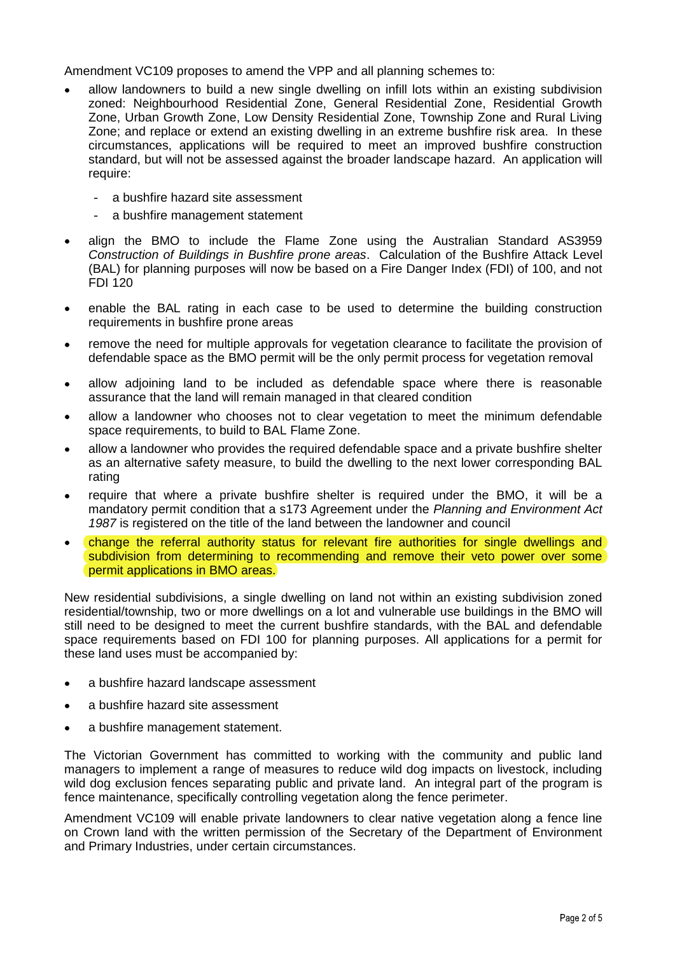Amendment VC109 proposes to amend the VPP and all planning schemes to:

- allow landowners to build a new single dwelling on infill lots within an existing subdivision zoned: Neighbourhood Residential Zone, General Residential Zone, Residential Growth Zone, Urban Growth Zone, Low Density Residential Zone, Township Zone and Rural Living Zone; and replace or extend an existing dwelling in an extreme bushfire risk area. In these circumstances, applications will be required to meet an improved bushfire construction standard, but will not be assessed against the broader landscape hazard. An application will require:
	- a bushfire hazard site assessment
	- a bushfire management statement
- align the BMO to include the Flame Zone using the Australian Standard AS3959 *Construction of Buildings in Bushfire prone areas*. Calculation of the Bushfire Attack Level (BAL) for planning purposes will now be based on a Fire Danger Index (FDI) of 100, and not FDI 120
- enable the BAL rating in each case to be used to determine the building construction requirements in bushfire prone areas
- remove the need for multiple approvals for vegetation clearance to facilitate the provision of defendable space as the BMO permit will be the only permit process for vegetation removal
- allow adjoining land to be included as defendable space where there is reasonable  $\bullet$ assurance that the land will remain managed in that cleared condition
- allow a landowner who chooses not to clear vegetation to meet the minimum defendable space requirements, to build to BAL Flame Zone.
- allow a landowner who provides the required defendable space and a private bushfire shelter  $\bullet$ as an alternative safety measure, to build the dwelling to the next lower corresponding BAL rating
- require that where a private bushfire shelter is required under the BMO, it will be a mandatory permit condition that a s173 Agreement under the *Planning and Environment Act 1987* is registered on the title of the land between the landowner and council
- change the referral authority status for relevant fire authorities for single dwellings and subdivision from determining to recommending and remove their veto power over some permit applications in BMO areas.

New residential subdivisions, a single dwelling on land not within an existing subdivision zoned residential/township, two or more dwellings on a lot and vulnerable use buildings in the BMO will still need to be designed to meet the current bushfire standards, with the BAL and defendable space requirements based on FDI 100 for planning purposes. All applications for a permit for these land uses must be accompanied by:

- a bushfire hazard landscape assessment  $\bullet$
- a bushfire hazard site assessment  $\bullet$
- a bushfire management statement.

The Victorian Government has committed to working with the community and public land managers to implement a range of measures to reduce wild dog impacts on livestock, including wild dog exclusion fences separating public and private land. An integral part of the program is fence maintenance, specifically controlling vegetation along the fence perimeter.

Amendment VC109 will enable private landowners to clear native vegetation along a fence line on Crown land with the written permission of the Secretary of the Department of Environment and Primary Industries, under certain circumstances.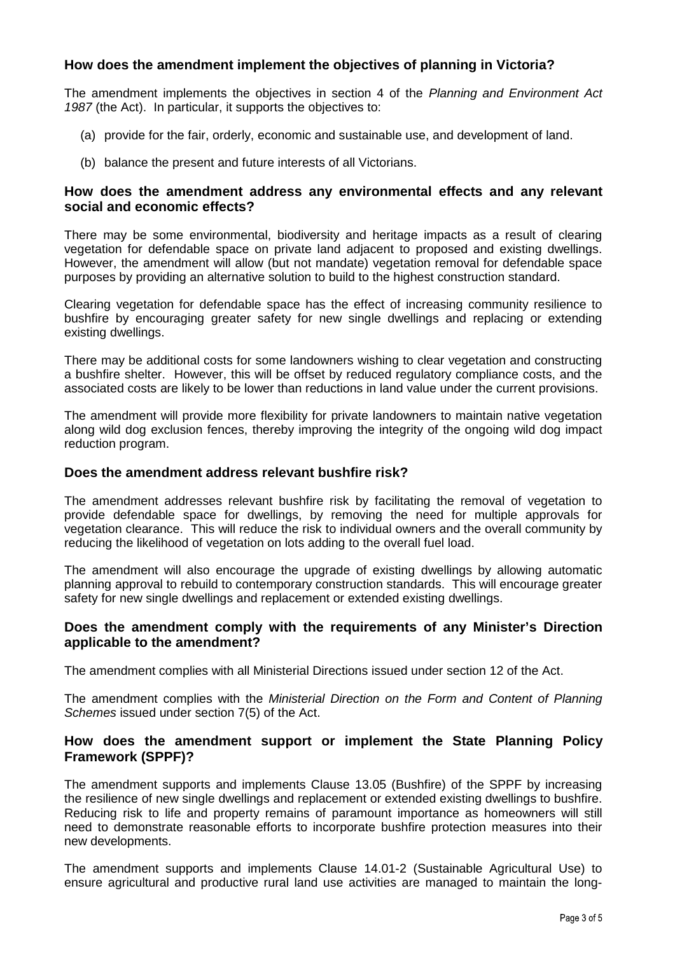# **How does the amendment implement the objectives of planning in Victoria?**

The amendment implements the objectives in section 4 of the *Planning and Environment Act 1987* (the Act). In particular, it supports the objectives to:

- (a) provide for the fair, orderly, economic and sustainable use, and development of land.
- (b) balance the present and future interests of all Victorians.

## **How does the amendment address any environmental effects and any relevant social and economic effects?**

There may be some environmental, biodiversity and heritage impacts as a result of clearing vegetation for defendable space on private land adjacent to proposed and existing dwellings. However, the amendment will allow (but not mandate) vegetation removal for defendable space purposes by providing an alternative solution to build to the highest construction standard.

Clearing vegetation for defendable space has the effect of increasing community resilience to bushfire by encouraging greater safety for new single dwellings and replacing or extending existing dwellings.

There may be additional costs for some landowners wishing to clear vegetation and constructing a bushfire shelter. However, this will be offset by reduced regulatory compliance costs, and the associated costs are likely to be lower than reductions in land value under the current provisions.

The amendment will provide more flexibility for private landowners to maintain native vegetation along wild dog exclusion fences, thereby improving the integrity of the ongoing wild dog impact reduction program.

#### **Does the amendment address relevant bushfire risk?**

The amendment addresses relevant bushfire risk by facilitating the removal of vegetation to provide defendable space for dwellings, by removing the need for multiple approvals for vegetation clearance. This will reduce the risk to individual owners and the overall community by reducing the likelihood of vegetation on lots adding to the overall fuel load.

The amendment will also encourage the upgrade of existing dwellings by allowing automatic planning approval to rebuild to contemporary construction standards. This will encourage greater safety for new single dwellings and replacement or extended existing dwellings.

## **Does the amendment comply with the requirements of any Minister's Direction applicable to the amendment?**

The amendment complies with all Ministerial Directions issued under section 12 of the Act.

The amendment complies with the *Ministerial Direction on the Form and Content of Planning Schemes* issued under section 7(5) of the Act.

## **How does the amendment support or implement the State Planning Policy Framework (SPPF)?**

The amendment supports and implements Clause 13.05 (Bushfire) of the SPPF by increasing the resilience of new single dwellings and replacement or extended existing dwellings to bushfire. Reducing risk to life and property remains of paramount importance as homeowners will still need to demonstrate reasonable efforts to incorporate bushfire protection measures into their new developments.

The amendment supports and implements Clause 14.01-2 (Sustainable Agricultural Use) to ensure agricultural and productive rural land use activities are managed to maintain the long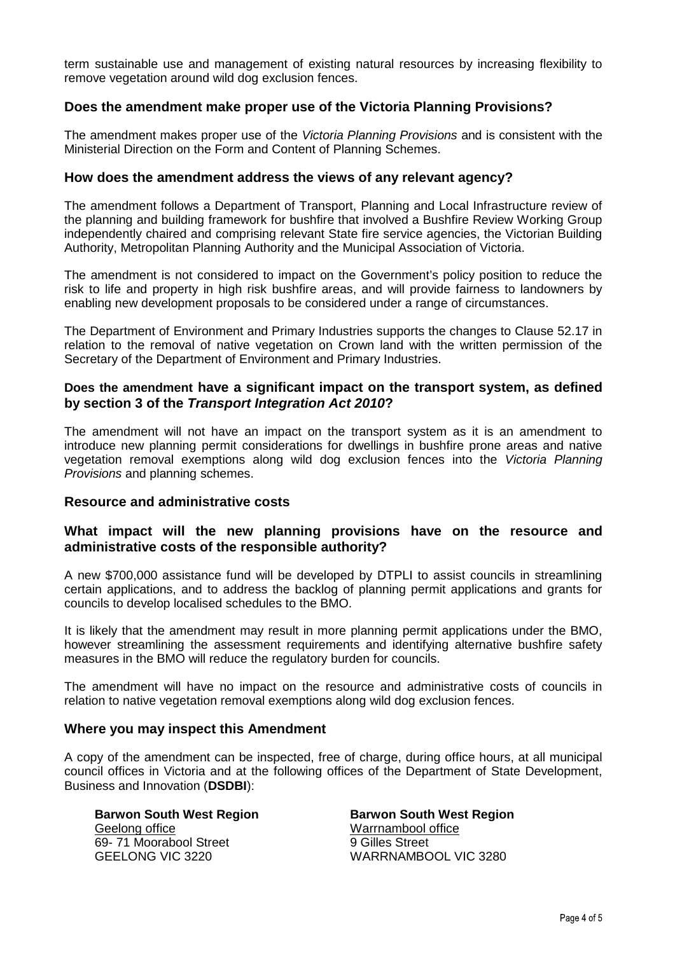term sustainable use and management of existing natural resources by increasing flexibility to remove vegetation around wild dog exclusion fences.

## **Does the amendment make proper use of the Victoria Planning Provisions?**

The amendment makes proper use of the *Victoria Planning Provisions* and is consistent with the Ministerial Direction on the Form and Content of Planning Schemes.

#### **How does the amendment address the views of any relevant agency?**

The amendment follows a Department of Transport, Planning and Local Infrastructure review of the planning and building framework for bushfire that involved a Bushfire Review Working Group independently chaired and comprising relevant State fire service agencies, the Victorian Building Authority, Metropolitan Planning Authority and the Municipal Association of Victoria.

The amendment is not considered to impact on the Government's policy position to reduce the risk to life and property in high risk bushfire areas, and will provide fairness to landowners by enabling new development proposals to be considered under a range of circumstances.

The Department of Environment and Primary Industries supports the changes to Clause 52.17 in relation to the removal of native vegetation on Crown land with the written permission of the Secretary of the Department of Environment and Primary Industries.

## **Does the amendment have a significant impact on the transport system, as defined by section 3 of the** *Transport Integration Act 2010***?**

The amendment will not have an impact on the transport system as it is an amendment to introduce new planning permit considerations for dwellings in bushfire prone areas and native vegetation removal exemptions along wild dog exclusion fences into the *Victoria Planning Provisions* and planning schemes.

#### **Resource and administrative costs**

## **What impact will the new planning provisions have on the resource and administrative costs of the responsible authority?**

A new \$700,000 assistance fund will be developed by DTPLI to assist councils in streamlining certain applications, and to address the backlog of planning permit applications and grants for councils to develop localised schedules to the BMO.

It is likely that the amendment may result in more planning permit applications under the BMO, however streamlining the assessment requirements and identifying alternative bushfire safety measures in the BMO will reduce the regulatory burden for councils.

The amendment will have no impact on the resource and administrative costs of councils in relation to native vegetation removal exemptions along wild dog exclusion fences.

#### **Where you may inspect this Amendment**

A copy of the amendment can be inspected, free of charge, during office hours, at all municipal council offices in Victoria and at the following offices of the Department of State Development, Business and Innovation (**DSDBI**):

**Barwon South West Region** Geelong office 69- 71 Moorabool Street GEELONG VIC 3220

**Barwon South West Region** Warrnambool office 9 Gilles Street WARRNAMBOOL VIC 3280